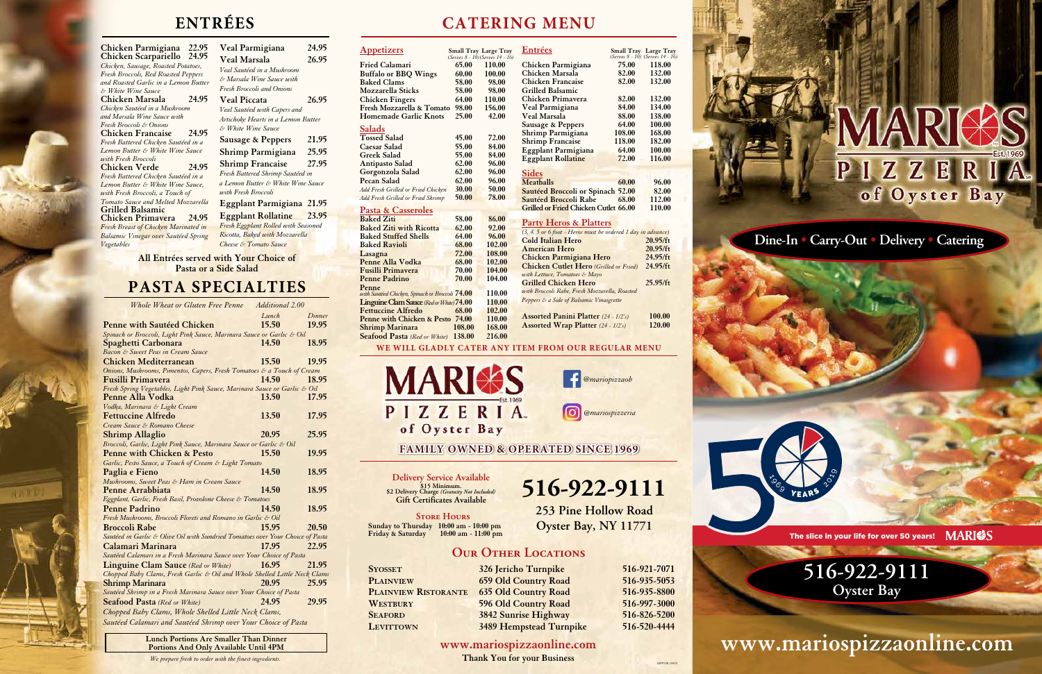# **516-922-9111 Oyster Bay**

#### **Dine-In • Carry-Out • Delivery • Catering**



**www.mariospizzaonline.com**

Delivery Service Available<br>
2 Delivery Charge *(Gratuity Not Included)* 516-922-9111 **\$15 Minimum. \$2 Delivery Charge** *(Gratuity Not Included)* **Gift Certificates Available**

# **ENTRÉES CATERING MENU**

**253 Pine Hollow Road Oyster Bay, NY 11771**

#### **OUR OTHER LOCATIONS**

**Store Hours Sunday to Thursday 10:00 am - 10:00 pm Friday & Saturday 10:00 am - 11:00 pm**

**Syosset 326 Jericho Turnpike 516-921-7071 Plainview 659 Old Country Road 516-935-5053 Plainview Ristorante 635 Old Country Road 516-935-8800 WESTBURY 596 Old Country Road 516-997-3000 Seaford 3842 Sunrise Highway 516-826-5200 Levittown 3489 Hempstead Turnpike 516-520-4444**

**www.mariospizzaonline.com**

**Thank You for your Business**

MPPOR-18420



**Eggplant Rollatine 23.95** *Fresh Eggplant Rolled with Seasoned*   $Baked$  with Mozzarella *Cheese Tomato Sauce* 

| Chicken Parmigiana 22.95             | Veal 1        |
|--------------------------------------|---------------|
| <b>Chicken Scarpariello</b> 24.95    | Veal 1        |
| Chicken, Sausage, Roasted Potatoes,  | Veal Sai      |
| Fresh Broccoli, Red Roasted Peppers  |               |
| and Roasted Garlic in a Lemon Butter | & Marse       |
| & White Wine Sauce                   | Fresh B       |
| 24.95<br>Chicken Marsala             | <b>Veal</b> l |
| Chicken Sautéed in a Mushroom        | Veal Sar      |
| and Marsala Wine Sauce with          | Artichol      |
| Fresh Broccoli & Onions              | $&b$ White    |
| 24.95<br>Chicken Francaise           |               |
| Fresh Battered Chicken Sautéed in a  | Sausa         |
| Lemon Butter & White Wine Sauce      | Shrim         |
| with Fresh Broccoli                  | Shrim         |
| 24.95<br>Chicken Verde               | Fresh Bo      |
| Fresh Battered Chicken Sautéed in a  | a Lemon       |
| Lemon Butter & White Wine Sauce,     |               |
| with Fresh Broccoli, a Touch of      | with Fre      |
| Tomato Sauce and Melted Mozzarella   | Eggpl         |
| <b>Grilled Balsamic</b>              | Eggpl         |
| Chicken Primavera<br>24.95           | Fresh E       |
| Fresh Breast of Chicken Marinated in |               |
| Balsamic Vinegar over Sautéed Spring | Ricotta,      |
| Vegetables                           | Cheese &      |
|                                      |               |

**Veal Parmigiana 24.95 Veal Marsala 26.95** *Veal Sautéed in a Mushroom & Marsala Wine Sauce with Fresh Broccoli and Onions* **Veal Piccata 26.95** *Veal Sautéed with Capers and Artichoke Hearts in a Lemon Butter & White Wine Sauce* **Sausage & Peppers 21.95 Shrimp Parmigiana 25.95 Shrimp Francaise 27.95** *Fresh Battered Shrimp Sautéed in a Lemon Butter & White Wine Sauce with Fresh Broccoli* **Eggplant Parmigiana 21.95**

## **PASTA SPECIALTIES**

| Whole Wheat or Gluten Free Penne                                               | Additional 2.00 |        |
|--------------------------------------------------------------------------------|-----------------|--------|
|                                                                                | Lunch           | Dinner |
| <u>Penne with Sautéed Chicken</u>                                              | 15.50           | 19.95  |
| Spinach or Broccoli, Light Pink Sauce, Marinara Sauce or Garlic & Oil          |                 |        |
| <b>Spaghetti Carbonara</b>                                                     | 14.50           | 18.95  |
| Bacon & Sweet Peas in Cream Sauce                                              |                 |        |
| <b>Chicken Mediterranean</b>                                                   | 15.50           | 19.95  |
| Onions, Mushrooms, Pimentos, Capers, Fresh Tomatoes & a Touch of Cream         |                 |        |
| Fusilli Primavera                                                              | 14.50           | 18.95  |
| Fresh Spring Vegetables, Light Pink Sauce, Marinara Sauce or Garlic & Oil      |                 |        |
| <b>Penne Alla Vodka</b>                                                        | 13.50           | 17.95  |
| Vodka, Marinara & Light Cream                                                  |                 |        |
| <b>Fettuccine Alfredo</b>                                                      | 13.50           | 17.95  |
| Cream Sauce & Romano Cheese                                                    |                 |        |
| <b>Shrimp Allaglio</b>                                                         | 20.95           | 25.95  |
| Broccoli, Garlic, Light Pink Sauce, Marinara Sauce or Garlic & Oil             |                 |        |
| <b>Penne with Chicken &amp; Pesto</b>                                          | 15.50           | 19.95  |
| Garlic, Pesto Sauce, a Touch of Cream & Light Tomato                           |                 |        |
| Paglia e Fieno                                                                 | 14.50           | 18.95  |
| Mushrooms, Sweet Peas & Ham in Cream Sauce                                     |                 |        |
| <b>Penne Arrabbiata</b>                                                        | 14.50           | 18.95  |
| Eggplant, Garlic, Fresh Basil, Provolone Cheese & Tomatoes                     |                 |        |
| <b>Penne Padrino</b>                                                           | 14.50           | 18.95  |
| Fresh Mushrooms, Broccoli Florets and Romano in Garlic & Oil                   |                 |        |
| <b>Broccoli Rabe</b>                                                           | 15.95           | 20.50  |
| Sautéed in Garlic & Olive Oil with Sundried Tomatoes over Your Choice of Pasta |                 |        |
| Calamari Marinara                                                              | 17.95           | 22.95  |
| Sautéed Calamari in a Fresh Marinara Sauce over Your Choice of Pasta           |                 |        |
| <b>Linguine Clam Sauce</b> (Red or White)                                      | 16.95           | 21.95  |
| Chopped Baby Clams, Fresh Garlic & Oil and Whole Shelled Little Neck Clams     |                 |        |
| <b>Shrimp Marinara</b>                                                         | 20.95           | 25.95  |
| Sautéed Shrimp in a Fresh Marinara Sauce over Your Choice of Pasta             |                 |        |
| <b>Seafood Pasta</b> (Red or White)                                            | 24.95           | 29.95  |
| Chopped Baby Clams, Whole Shelled Little Neck Clams,                           |                 |        |
| Sautéed Calamari and Sautéed Shrimp over Your Choice of Pasta                  |                 |        |
|                                                                                |                 |        |

**Lunch Portions Are Smaller Than Dinner Portions And Only Available Until 4PM**

**All Entrées served with Your Choice of Pasta or a Side Salad**

*We prepare fresh to order with the finest ingredients.*

| <b>Appetizers</b>                               |              | Small Tray Large Tray<br>(Serves 8 - 10) (Serves 14 - 16) | Entrées                                                      |                 | Small Tray Large Tray<br>(Serves 8 - 10) (Serves 14 - 16) |
|-------------------------------------------------|--------------|-----------------------------------------------------------|--------------------------------------------------------------|-----------------|-----------------------------------------------------------|
| <b>Fried Calamari</b>                           | 65.00        | 110.00                                                    | Chicken Parmigiana                                           | 75.00           | 118.00                                                    |
| <b>Buffalo or BBQ Wings</b>                     | 60.00        | 100.00                                                    | Chicken Marsala                                              | 82.00           | 132.00                                                    |
| <b>Baked Clams</b>                              | 58.00        | 98.00                                                     | Chicken Francaise                                            | 82.00           | 132.00                                                    |
| <b>Mozzarella Sticks</b>                        | 58.00        | 98.00                                                     | Grilled Balsamic                                             |                 |                                                           |
| <b>Chicken Fingers</b>                          | 64.00        | 110.00                                                    | Chicken Primavera                                            | 82.00           | 132.00                                                    |
| Fresh Mozzarella & Tomato                       | 98.00        | 156.00                                                    | Veal Parmigiana                                              | 84.00           | 134.00                                                    |
| <b>Homemade Garlic Knots</b>                    | 25.00        | 42.00                                                     | <b>Veal Marsala</b>                                          | 88.00           | 138.00                                                    |
|                                                 |              |                                                           | Sausage & Peppers                                            | 64.00           | 100.00                                                    |
| <b>Salads</b>                                   |              |                                                           | Shrimp Parmigiana                                            | 108.00          | 168.00                                                    |
| <b>Tossed Salad</b>                             | 45.00        | 72.00                                                     | <b>Shrimp Francaise</b>                                      | 118.00          | 182.00                                                    |
| <b>Caesar Salad</b>                             | 55.00        | 84.00                                                     | <b>Eggplant Parmigiana</b>                                   | 64.00           | 100.00                                                    |
| <b>Greek Salad</b>                              | 55.00        | 84.00                                                     | <b>Eggplant Rollatine</b>                                    | 72.00           | 116.00                                                    |
| <b>Antipasto Salad</b>                          | 62.00        | 96.00                                                     |                                                              |                 |                                                           |
| Gorgonzola Salad                                | 62.00        | 96.00                                                     | <b>Sides</b>                                                 |                 |                                                           |
| <b>Pecan Salad</b>                              | 62.00        | 96.00                                                     | <b>Meatballs</b>                                             | 60.00           | 96.00                                                     |
| Add Fresh Grilled or Fried Chicken              | 30.00        | 50.00                                                     | Sautéed Broccoli or Spinach 52.00                            |                 | 82.00                                                     |
| Add Fresh Grilled or Fried Shrimp               | 50.00        | 78.00                                                     | Sautéed Broccoli Rabe                                        | 68.00           | 112.00                                                    |
|                                                 |              |                                                           | <b>Grilled or Fried Chicken Cutlet 66.00</b>                 |                 | 110.00                                                    |
| Pasta & Casseroles                              |              |                                                           |                                                              |                 |                                                           |
| <b>Baked Ziti</b>                               | <b>58.00</b> | 86.00                                                     | <b>Party Heros &amp; Platters</b>                            |                 |                                                           |
| <b>Baked Ziti with Ricotta</b>                  | 62.00        | 92.00                                                     | (3, 4, 5 or 6 foot - Heros must be ordered 1 day in advance) |                 |                                                           |
| <b>Baked Stuffed Shells</b>                     | 64.00        | 96.00                                                     | <b>Cold Italian Hero</b>                                     |                 | 20.95/ft                                                  |
| <b>Baked Ravioli</b>                            | 68.00        | 102.00                                                    | <b>American Hero</b>                                         |                 | 20.95/ft                                                  |
| Lasagna                                         | 72.00        | 108.00                                                    | Chicken Parmigiana Hero                                      |                 | 24.95/ft                                                  |
| Penne Alla Vodka                                | 68.00        | 102.00                                                    | <b>Chicken Cutlet Hero</b> (Grilled or Fried)                |                 | 24.95/ft                                                  |
| <b>Fusilli Primavera</b>                        | 70.00        | 104.00                                                    | with Lettuce, Tomatoes & Mayo                                |                 |                                                           |
| <b>Penne Padrino</b>                            | 70.00        | 104.00                                                    | <b>Grilled Chicken Hero</b>                                  |                 | 25.95/ft                                                  |
| Penne                                           |              |                                                           | with Broccoli Rabe, Fresh Mozzarella, Roasted                |                 |                                                           |
| with Sautéed Chicken, Spinach or Broccoli 74.00 |              | 110.00                                                    | Peppers & a Side of Balsamic Vinaigrette                     |                 |                                                           |
| Linguine Clam Sauce (Red or White) 74.00        |              | 110.00                                                    |                                                              |                 |                                                           |
| <b>Fettuccine Alfredo</b>                       | 68.00        | 102.00                                                    |                                                              |                 |                                                           |
| Penne with Chicken & Pesto 74.00                |              | 110.00                                                    | <b>Assorted Panini Platter</b> (24 - 1/2's)                  |                 | 100.00<br>120.00                                          |
| <b>Shrimp Marinara</b>                          | 108.00       | 168.00                                                    | <b>Assorted Wrap Platter</b> $(24 - 1/2's)$                  |                 |                                                           |
| <b>Seafood Pasta</b> (Red or White) 138.00      |              | 216.00                                                    |                                                              |                 |                                                           |
|                                                 |              |                                                           | WE WILL GLADLY CATER ANY ITEM FROM OUR REGULAR MENU          |                 |                                                           |
| <b>MARIS</b>                                    |              |                                                           | <b>@mariopizzaob</b>                                         |                 |                                                           |
| PIZZERIA<br>of Oyster Bay                       |              |                                                           |                                                              | @mariospizzeria |                                                           |
|                                                 |              |                                                           |                                                              |                 |                                                           |
|                                                 |              |                                                           | <b>FAMILY OWNED &amp; OPERATED SINCE 1969</b>                |                 |                                                           |
|                                                 |              |                                                           |                                                              |                 |                                                           |